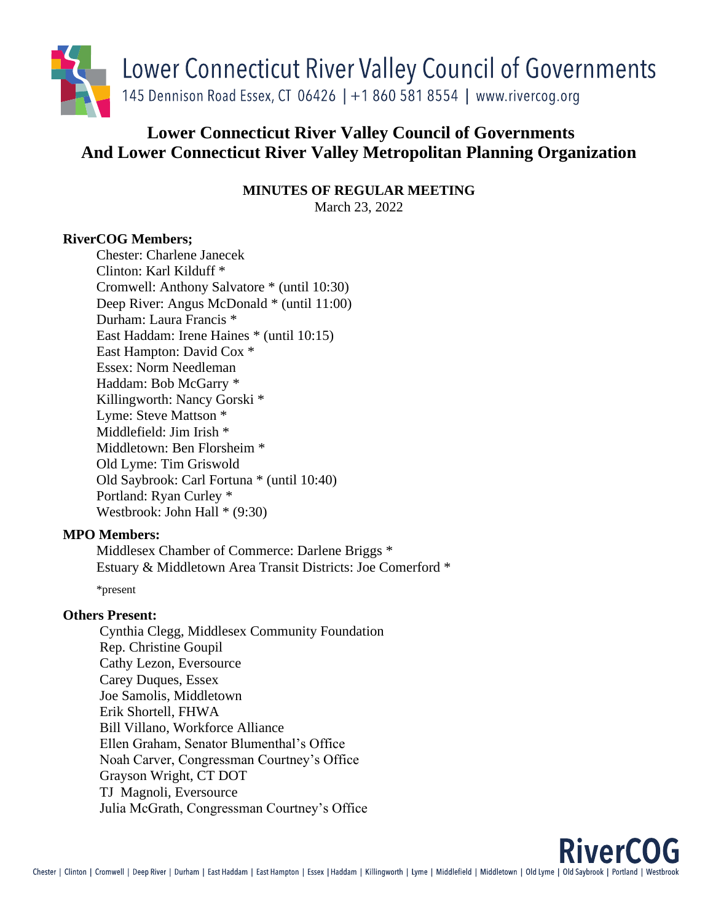

# **Lower Connecticut River Valley Council of Governments And Lower Connecticut River Valley Metropolitan Planning Organization**

**MINUTES OF REGULAR MEETING** March 23, 2022

# **RiverCOG Members;**

Chester: Charlene Janecek Clinton: Karl Kilduff \* Cromwell: Anthony Salvatore \* (until 10:30) Deep River: Angus McDonald \* (until 11:00) Durham: Laura Francis \* East Haddam: Irene Haines \* (until 10:15) East Hampton: David Cox \* Essex: Norm Needleman Haddam: Bob McGarry \* Killingworth: Nancy Gorski \* Lyme: Steve Mattson \* Middlefield: Jim Irish \* Middletown: Ben Florsheim \* Old Lyme: Tim Griswold Old Saybrook: Carl Fortuna \* (until 10:40) Portland: Ryan Curley \* Westbrook: John Hall \* (9:30)

## **MPO Members:**

Middlesex Chamber of Commerce: Darlene Briggs \* Estuary & Middletown Area Transit Districts: Joe Comerford \*

\*present

## **Others Present:**

Cynthia Clegg, Middlesex Community Foundation Rep. Christine Goupil Cathy Lezon, Eversource Carey Duques, Essex Joe Samolis, Middletown Erik Shortell, FHWA Bill Villano, Workforce Alliance Ellen Graham, Senator Blumenthal's Office Noah Carver, Congressman Courtney's Office Grayson Wright, CT DOT TJ Magnoli, Eversource Julia McGrath, Congressman Courtney's Office

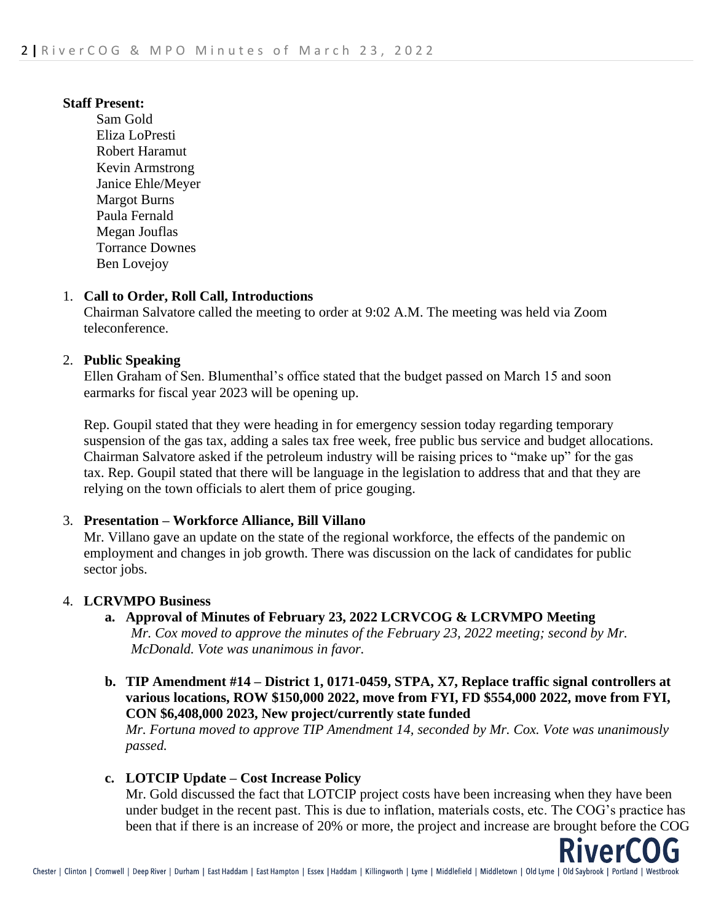#### **Staff Present:**

Sam Gold Eliza LoPresti Robert Haramut Kevin Armstrong Janice Ehle/Meyer Margot Burns Paula Fernald Megan Jouflas Torrance Downes Ben Lovejoy

#### 1. **Call to Order, Roll Call, Introductions**

Chairman Salvatore called the meeting to order at 9:02 A.M. The meeting was held via Zoom teleconference.

#### 2. **Public Speaking**

Ellen Graham of Sen. Blumenthal's office stated that the budget passed on March 15 and soon earmarks for fiscal year 2023 will be opening up.

Rep. Goupil stated that they were heading in for emergency session today regarding temporary suspension of the gas tax, adding a sales tax free week, free public bus service and budget allocations. Chairman Salvatore asked if the petroleum industry will be raising prices to "make up" for the gas tax. Rep. Goupil stated that there will be language in the legislation to address that and that they are relying on the town officials to alert them of price gouging.

## 3. **Presentation – Workforce Alliance, Bill Villano**

Mr. Villano gave an update on the state of the regional workforce, the effects of the pandemic on employment and changes in job growth. There was discussion on the lack of candidates for public sector jobs.

## 4. **LCRVMPO Business**

- **a. Approval of Minutes of February 23, 2022 LCRVCOG & LCRVMPO Meeting** *Mr. Cox moved to approve the minutes of the February 23, 2022 meeting; second by Mr. McDonald. Vote was unanimous in favor.*
- **b. TIP Amendment #14 – District 1, 0171-0459, STPA, X7, Replace traffic signal controllers at various locations, ROW \$150,000 2022, move from FYI, FD \$554,000 2022, move from FYI, CON \$6,408,000 2023, New project/currently state funded**

*Mr. Fortuna moved to approve TIP Amendment 14, seconded by Mr. Cox. Vote was unanimously passed.*

## **c. LOTCIP Update – Cost Increase Policy**

Mr. Gold discussed the fact that LOTCIP project costs have been increasing when they have been under budget in the recent past. This is due to inflation, materials costs, etc. The COG's practice has been that if there is an increase of 20% or more, the project and increase are brought before the COG

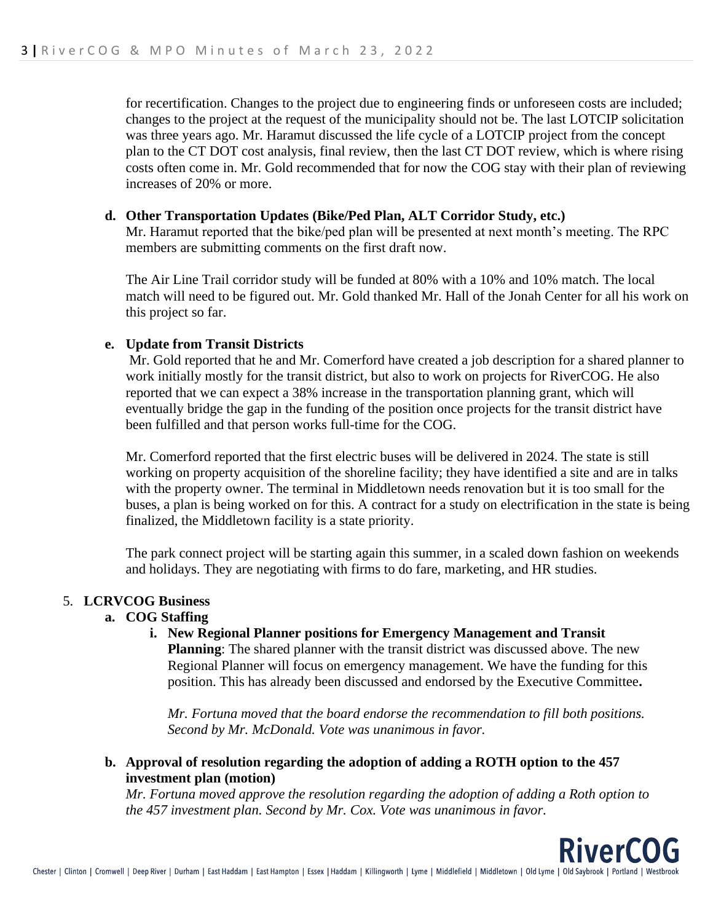for recertification. Changes to the project due to engineering finds or unforeseen costs are included; changes to the project at the request of the municipality should not be. The last LOTCIP solicitation was three years ago. Mr. Haramut discussed the life cycle of a LOTCIP project from the concept plan to the CT DOT cost analysis, final review, then the last CT DOT review, which is where rising costs often come in. Mr. Gold recommended that for now the COG stay with their plan of reviewing increases of 20% or more.

#### **d. Other Transportation Updates (Bike/Ped Plan, ALT Corridor Study, etc.)**

Mr. Haramut reported that the bike/ped plan will be presented at next month's meeting. The RPC members are submitting comments on the first draft now.

The Air Line Trail corridor study will be funded at 80% with a 10% and 10% match. The local match will need to be figured out. Mr. Gold thanked Mr. Hall of the Jonah Center for all his work on this project so far.

#### **e. Update from Transit Districts**

Mr. Gold reported that he and Mr. Comerford have created a job description for a shared planner to work initially mostly for the transit district, but also to work on projects for RiverCOG. He also reported that we can expect a 38% increase in the transportation planning grant, which will eventually bridge the gap in the funding of the position once projects for the transit district have been fulfilled and that person works full-time for the COG.

Mr. Comerford reported that the first electric buses will be delivered in 2024. The state is still working on property acquisition of the shoreline facility; they have identified a site and are in talks with the property owner. The terminal in Middletown needs renovation but it is too small for the buses, a plan is being worked on for this. A contract for a study on electrification in the state is being finalized, the Middletown facility is a state priority.

The park connect project will be starting again this summer, in a scaled down fashion on weekends and holidays. They are negotiating with firms to do fare, marketing, and HR studies.

#### 5. **LCRVCOG Business**

## **a. COG Staffing**

**i. New Regional Planner positions for Emergency Management and Transit Planning**: The shared planner with the transit district was discussed above. The new Regional Planner will focus on emergency management. We have the funding for this position. This has already been discussed and endorsed by the Executive Committee**.**

*Mr. Fortuna moved that the board endorse the recommendation to fill both positions. Second by Mr. McDonald. Vote was unanimous in favor.* 

**RiverCO** 

**b. Approval of resolution regarding the adoption of adding a ROTH option to the 457 investment plan (motion)**

*Mr. Fortuna moved approve the resolution regarding the adoption of adding a Roth option to the 457 investment plan. Second by Mr. Cox. Vote was unanimous in favor.*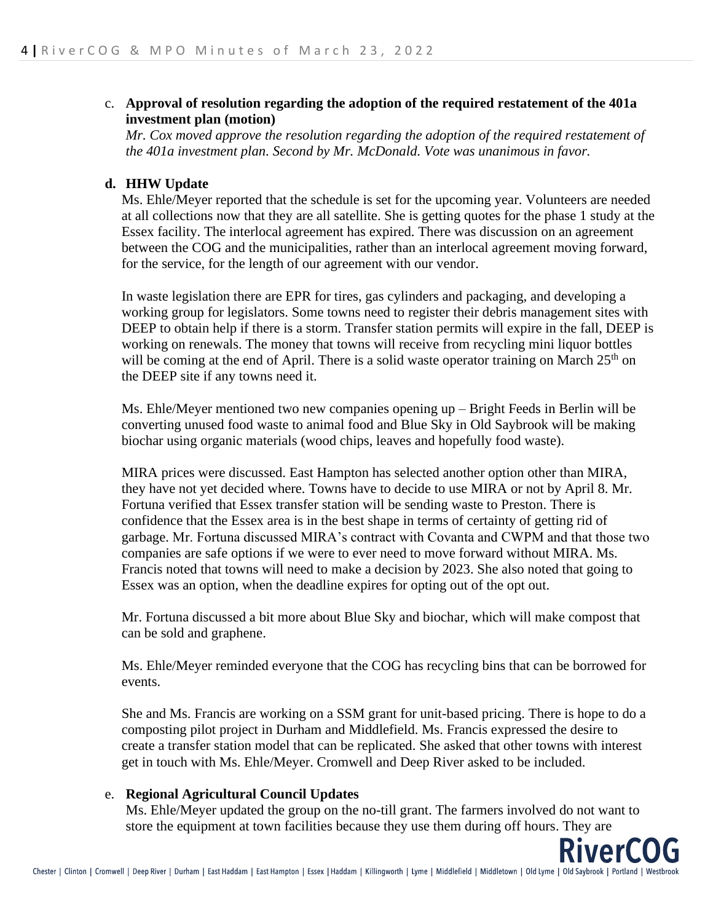## c. **Approval of resolution regarding the adoption of the required restatement of the 401a investment plan (motion)**

*Mr. Cox moved approve the resolution regarding the adoption of the required restatement of the 401a investment plan. Second by Mr. McDonald. Vote was unanimous in favor.*

#### **d. HHW Update**

Ms. Ehle/Meyer reported that the schedule is set for the upcoming year. Volunteers are needed at all collections now that they are all satellite. She is getting quotes for the phase 1 study at the Essex facility. The interlocal agreement has expired. There was discussion on an agreement between the COG and the municipalities, rather than an interlocal agreement moving forward, for the service, for the length of our agreement with our vendor.

In waste legislation there are EPR for tires, gas cylinders and packaging, and developing a working group for legislators. Some towns need to register their debris management sites with DEEP to obtain help if there is a storm. Transfer station permits will expire in the fall, DEEP is working on renewals. The money that towns will receive from recycling mini liquor bottles will be coming at the end of April. There is a solid waste operator training on March 25<sup>th</sup> on the DEEP site if any towns need it.

Ms. Ehle/Meyer mentioned two new companies opening up – Bright Feeds in Berlin will be converting unused food waste to animal food and Blue Sky in Old Saybrook will be making biochar using organic materials (wood chips, leaves and hopefully food waste).

MIRA prices were discussed. East Hampton has selected another option other than MIRA, they have not yet decided where. Towns have to decide to use MIRA or not by April 8. Mr. Fortuna verified that Essex transfer station will be sending waste to Preston. There is confidence that the Essex area is in the best shape in terms of certainty of getting rid of garbage. Mr. Fortuna discussed MIRA's contract with Covanta and CWPM and that those two companies are safe options if we were to ever need to move forward without MIRA. Ms. Francis noted that towns will need to make a decision by 2023. She also noted that going to Essex was an option, when the deadline expires for opting out of the opt out.

Mr. Fortuna discussed a bit more about Blue Sky and biochar, which will make compost that can be sold and graphene.

Ms. Ehle/Meyer reminded everyone that the COG has recycling bins that can be borrowed for events.

She and Ms. Francis are working on a SSM grant for unit-based pricing. There is hope to do a composting pilot project in Durham and Middlefield. Ms. Francis expressed the desire to create a transfer station model that can be replicated. She asked that other towns with interest get in touch with Ms. Ehle/Meyer. Cromwell and Deep River asked to be included.

#### e. **Regional Agricultural Council Updates**

Ms. Ehle/Meyer updated the group on the no-till grant. The farmers involved do not want to store the equipment at town facilities because they use them during off hours. They are

verl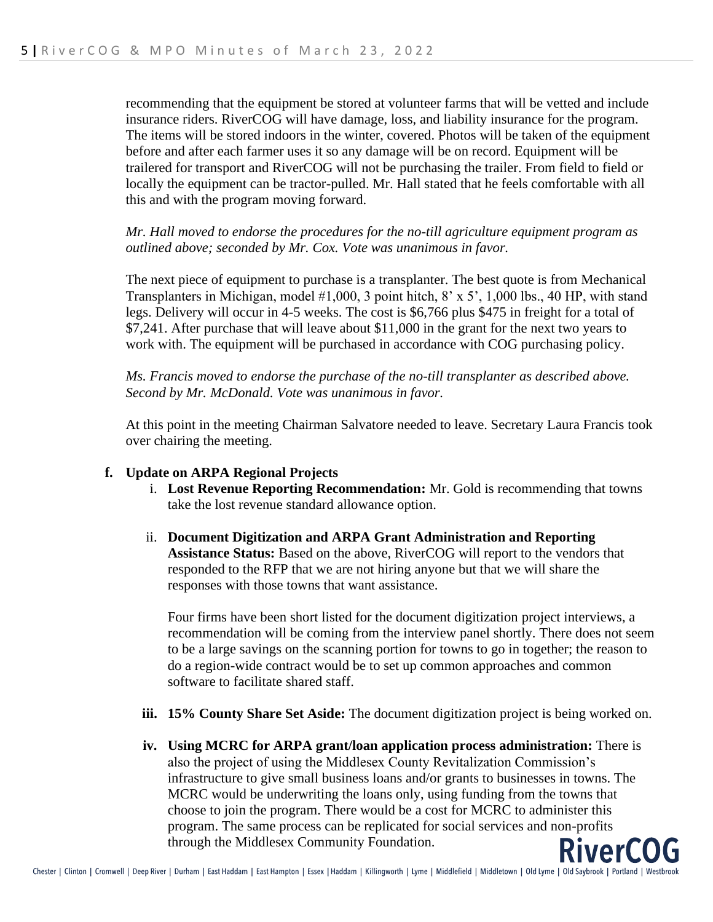recommending that the equipment be stored at volunteer farms that will be vetted and include insurance riders. RiverCOG will have damage, loss, and liability insurance for the program. The items will be stored indoors in the winter, covered. Photos will be taken of the equipment before and after each farmer uses it so any damage will be on record. Equipment will be trailered for transport and RiverCOG will not be purchasing the trailer. From field to field or locally the equipment can be tractor-pulled. Mr. Hall stated that he feels comfortable with all this and with the program moving forward.

*Mr. Hall moved to endorse the procedures for the no-till agriculture equipment program as outlined above; seconded by Mr. Cox. Vote was unanimous in favor.* 

The next piece of equipment to purchase is a transplanter. The best quote is from Mechanical Transplanters in Michigan, model #1,000, 3 point hitch, 8' x 5', 1,000 lbs., 40 HP, with stand legs. Delivery will occur in 4-5 weeks. The cost is \$6,766 plus \$475 in freight for a total of \$7,241. After purchase that will leave about \$11,000 in the grant for the next two years to work with. The equipment will be purchased in accordance with COG purchasing policy.

*Ms. Francis moved to endorse the purchase of the no-till transplanter as described above. Second by Mr. McDonald. Vote was unanimous in favor.* 

At this point in the meeting Chairman Salvatore needed to leave. Secretary Laura Francis took over chairing the meeting.

## **f. Update on ARPA Regional Projects**

- i. **Lost Revenue Reporting Recommendation:** Mr. Gold is recommending that towns take the lost revenue standard allowance option.
- ii. **Document Digitization and ARPA Grant Administration and Reporting Assistance Status:** Based on the above, RiverCOG will report to the vendors that responded to the RFP that we are not hiring anyone but that we will share the responses with those towns that want assistance.

Four firms have been short listed for the document digitization project interviews, a recommendation will be coming from the interview panel shortly. There does not seem to be a large savings on the scanning portion for towns to go in together; the reason to do a region-wide contract would be to set up common approaches and common software to facilitate shared staff.

- **iii. 15% County Share Set Aside:** The document digitization project is being worked on.
- **iv. Using MCRC for ARPA grant/loan application process administration:** There is also the project of using the Middlesex County Revitalization Commission's infrastructure to give small business loans and/or grants to businesses in towns. The MCRC would be underwriting the loans only, using funding from the towns that choose to join the program. There would be a cost for MCRC to administer this program. The same process can be replicated for social services and non-profits through the Middlesex Community Foundation.

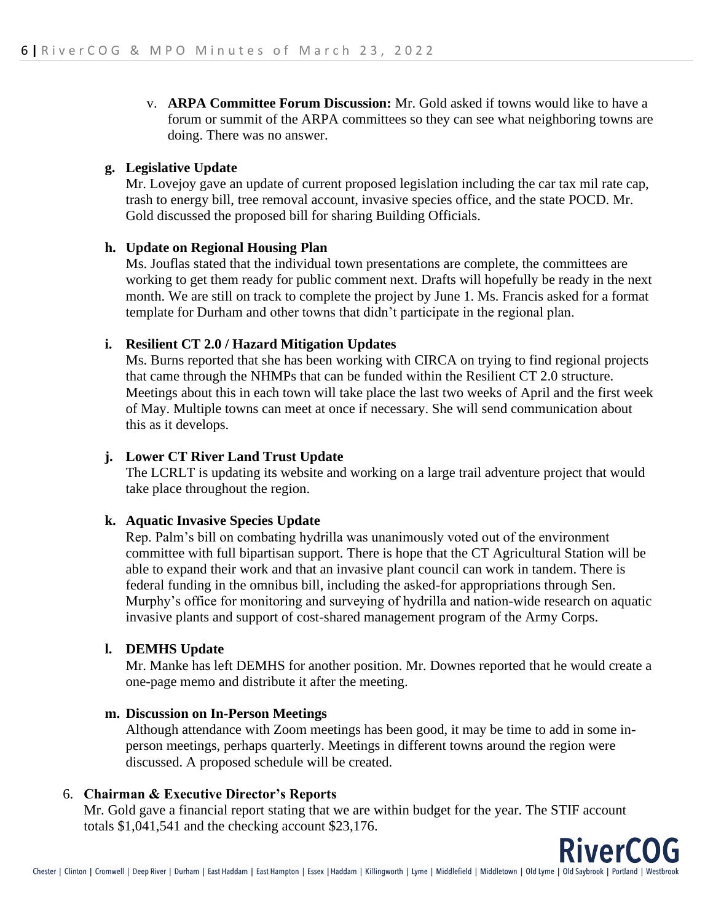v. **ARPA Committee Forum Discussion:** Mr. Gold asked if towns would like to have a forum or summit of the ARPA committees so they can see what neighboring towns are doing. There was no answer.

# **g. Legislative Update**

Mr. Lovejoy gave an update of current proposed legislation including the car tax mil rate cap, trash to energy bill, tree removal account, invasive species office, and the state POCD. Mr. Gold discussed the proposed bill for sharing Building Officials.

# **h. Update on Regional Housing Plan**

Ms. Jouflas stated that the individual town presentations are complete, the committees are working to get them ready for public comment next. Drafts will hopefully be ready in the next month. We are still on track to complete the project by June 1. Ms. Francis asked for a format template for Durham and other towns that didn't participate in the regional plan.

# **i. Resilient CT 2.0 / Hazard Mitigation Updates**

Ms. Burns reported that she has been working with CIRCA on trying to find regional projects that came through the NHMPs that can be funded within the Resilient CT 2.0 structure. Meetings about this in each town will take place the last two weeks of April and the first week of May. Multiple towns can meet at once if necessary. She will send communication about this as it develops.

# **j. Lower CT River Land Trust Update**

The LCRLT is updating its website and working on a large trail adventure project that would take place throughout the region.

## **k. Aquatic Invasive Species Update**

Rep. Palm's bill on combating hydrilla was unanimously voted out of the environment committee with full bipartisan support. There is hope that the CT Agricultural Station will be able to expand their work and that an invasive plant council can work in tandem. There is federal funding in the omnibus bill, including the asked-for appropriations through Sen. Murphy's office for monitoring and surveying of hydrilla and nation-wide research on aquatic invasive plants and support of cost-shared management program of the Army Corps.

## **l. DEMHS Update**

Mr. Manke has left DEMHS for another position. Mr. Downes reported that he would create a one-page memo and distribute it after the meeting.

## **m. Discussion on In-Person Meetings**

Although attendance with Zoom meetings has been good, it may be time to add in some inperson meetings, perhaps quarterly. Meetings in different towns around the region were discussed. A proposed schedule will be created.

## 6. **Chairman & Executive Director's Reports**

Mr. Gold gave a financial report stating that we are within budget for the year. The STIF account totals \$1,041,541 and the checking account \$23,176.